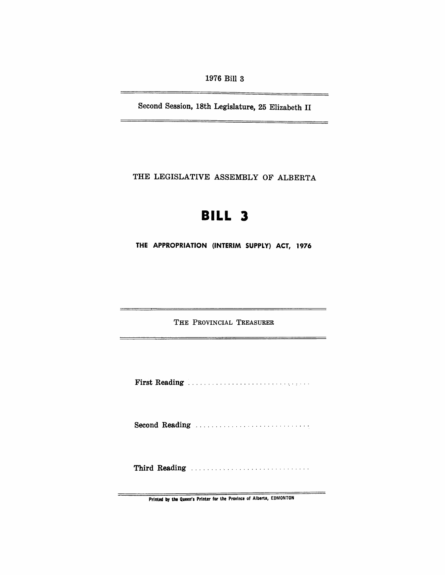1976 Bill 3

Second Session, 18th Legislature, 25 Elizabeth II

THE LEGISLATIVE ASSEMBLY OF ALBERTA

# **BILL 3**

THE APPROPRIATION (INTERIM SUPPLY) ACT, 1976

'THE PROVINCIAL TREASURER

First Reading

Second Reading ............................ .

Third Reading .................................

Printed by the Queen's Printer for the Province of Alberta, EDMONTON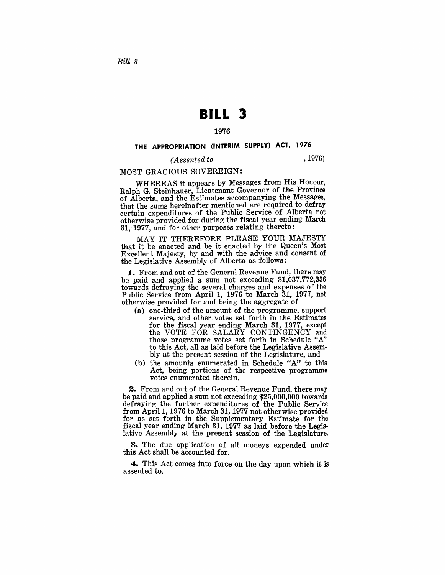## **BILL 3**

#### 1976

#### THE APPROPRIATION (INTERIM SUPPLY) ACT, 1976

#### *( Assented to* ,1976)

#### MOST GRACIOUS SOVEREIGN:

WHEREAS it appears by Messages from His Honour, Ralph G. Steinhauer, Lieutenant Governor of the Province of Alberta, and the Estimates accompanying the Messages, that the sums hereinafter mentioned are required to defray certain expenditures of the Public Service of Alberta not otherwise provided for during the fiscal year ending March 31, 1977, and for other purposes relating thereto:

MAY IT THEREFORE PLEASE YOUR MAJESTY that it be enacted and be it enacted by the Queen's Most Excellent Majesty, by and with the advice and consent of the Legislative Assembly of Alberta as follows:

1. From and out of the General Revenue Fund, there may be paid and applied a sum not exceeding \$1,037,772,356 towards defraying the several charges and expenses of the Public Service from April 1, 1976 to March 31, 1977, not otherwise provided for and being the aggregate of

- (a ) one-third of the amount of the programme, support service, and other votes set forth in the Estimates for the fiscal year ending March 31, 1977, except the VOTE FOR SALARY CONTINGENCY and those programme votes set forth in Schedule *"A"*  to this Act, all as laid before the Legislative Assembly at the present session of the Legislature, and
- (b) the amounts enumerated in Schedule "A" to this Act, being portions of the respective programme 'votes enumerated therein.

2. From and out of the General Revenue Fund, there may be paid and applied a sum not exceeding \$25,000,000 towards defraying the further expenditures of the Public Service from April 1, 1976 to March 31, 1977 not otherwise provided for as set forth in the Supplementary Estimate for the fiscal year ending March 31, 1977 as laid before the Legislative Assembly at the present session of the Legislature.

3. The due application of all moneys expended under this Act shall be accounted for.

4. This Act comes into force on the day upon which it is assented to.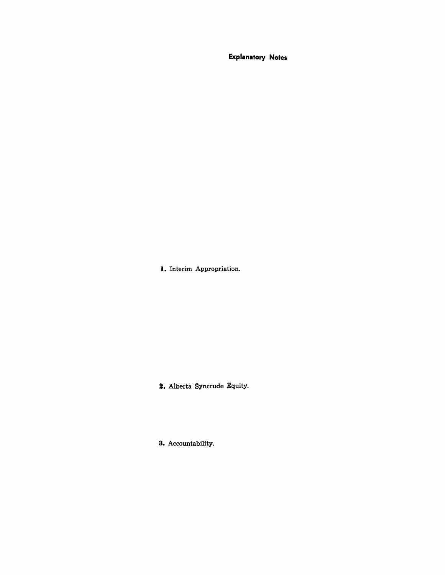**Explanatory Notes** 

**I.** Interim Appropriation.

2. Alberta Syncrude Equity.

**3.** Accountability.